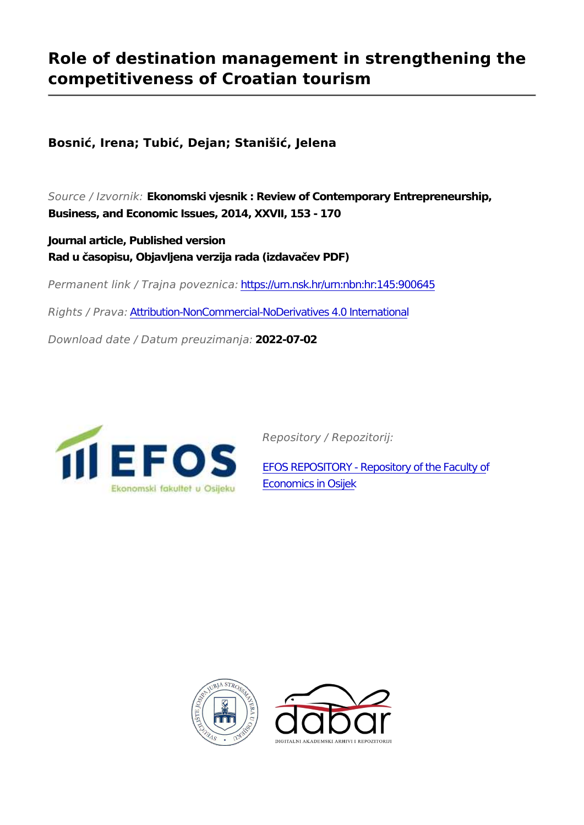# **Role of destination management in strengthening the competitiveness of Croatian tourism**

**Bosnić, Irena; Tubić, Dejan; Stanišić, Jelena**

*Source / Izvornik:* **Ekonomski vjesnik : Review of Contemporary Entrepreneurship, Business, and Economic Issues, 2014, XXVII, 153 - 170**

**Journal article, Published version Rad u časopisu, Objavljena verzija rada (izdavačev PDF)**

*Permanent link / Trajna poveznica:* <https://urn.nsk.hr/urn:nbn:hr:145:900645>

*Rights / Prava:* [Attribution-NonCommercial-NoDerivatives 4.0 International](http://creativecommons.org/licenses/by-nc-nd/4.0/)

*Download date / Datum preuzimanja:* **2022-07-02**



*Repository / Repozitorij:*

[EFOS REPOSITORY - Repository of the Faculty o](https://repozitorij.efos.hr)f [Economics in Osijek](https://repozitorij.efos.hr)



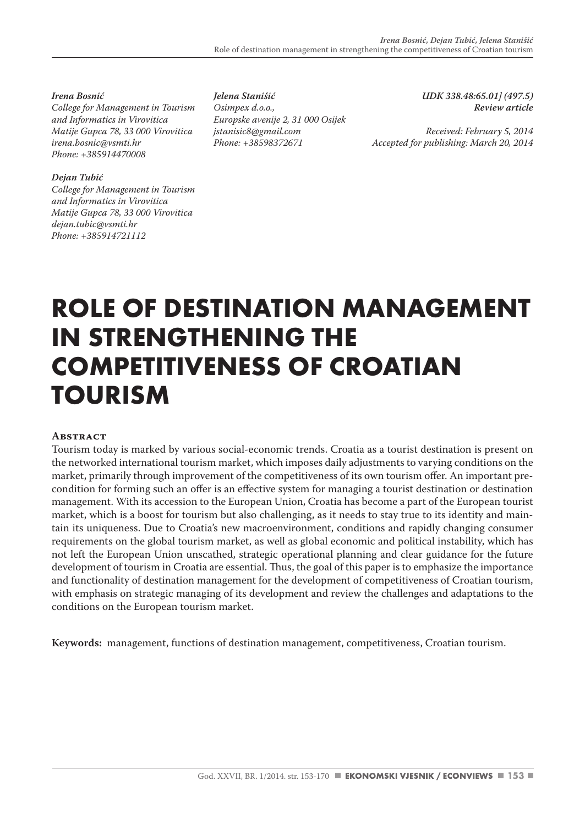*Irena Bosnić College for Management in Tourism and Informatics in Virovitica Matije Gupca 78, 33 000 Virovitica irena.bosnic@vsmti.hr Phone: +385914470008*

#### *Dejan Tubić*

*College for Management in Tourism and Informatics in Virovitica Matije Gupca 78, 33 000 Virovitica dejan.tubic@vsmti.hr Phone: +385914721112*

*Jelena Stanišić Osimpex d.o.o., Europske avenije 2, 31 000 Osijek jstanisic8@gmail.com Phone: +38598372671*

*UDK 338.48:65.01] (497.5) Review article*

*Received: February 5, 2014 Accepted for publishing: March 20, 2014*

# **ROLE OF DESTINATION MANAGEMENT IN STRENGTHENING THE COMPETITIVENESS OF CROATIAN TOURISM**

#### **ABSTRACT**

Tourism today is marked by various social-economic trends. Croatia as a tourist destination is present on the networked international tourism market, which imposes daily adjustments to varying conditions on the market, primarily through improvement of the competitiveness of its own tourism offer. An important precondition for forming such an offer is an effective system for managing a tourist destination or destination management. With its accession to the European Union, Croatia has become a part of the European tourist market, which is a boost for tourism but also challenging, as it needs to stay true to its identity and maintain its uniqueness. Due to Croatia's new macroenvironment, conditions and rapidly changing consumer requirements on the global tourism market, as well as global economic and political instability, which has not left the European Union unscathed, strategic operational planning and clear guidance for the future development of tourism in Croatia are essential. Thus, the goal of this paper is to emphasize the importance and functionality of destination management for the development of competitiveness of Croatian tourism, with emphasis on strategic managing of its development and review the challenges and adaptations to the conditions on the European tourism market.

**Keywords:** management, functions of destination management, competitiveness, Croatian tourism.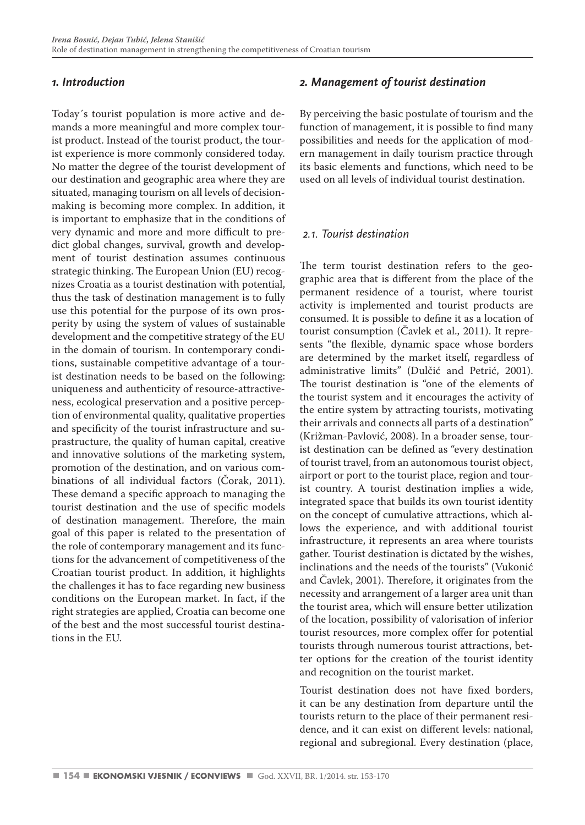# *1. Introduction*

Today´s tourist population is more active and demands a more meaningful and more complex tourist product. Instead of the tourist product, the tourist experience is more commonly considered today. No matter the degree of the tourist development of our destination and geographic area where they are situated, managing tourism on all levels of decisionmaking is becoming more complex. In addition, it is important to emphasize that in the conditions of very dynamic and more and more difficult to predict global changes, survival, growth and development of tourist destination assumes continuous strategic thinking. The European Union (EU) recognizes Croatia as a tourist destination with potential, thus the task of destination management is to fully use this potential for the purpose of its own prosperity by using the system of values of sustainable development and the competitive strategy of the EU in the domain of tourism. In contemporary conditions, sustainable competitive advantage of a tourist destination needs to be based on the following: uniqueness and authenticity of resource-attractiveness, ecological preservation and a positive perception of environmental quality, qualitative properties and specificity of the tourist infrastructure and suprastructure, the quality of human capital, creative and innovative solutions of the marketing system, promotion of the destination, and on various combinations of all individual factors (Čorak, 2011). These demand a specific approach to managing the tourist destination and the use of specific models of destination management. Therefore, the main goal of this paper is related to the presentation of the role of contemporary management and its functions for the advancement of competitiveness of the Croatian tourist product. In addition, it highlights the challenges it has to face regarding new business conditions on the European market. In fact, if the right strategies are applied, Croatia can become one of the best and the most successful tourist destinations in the EU.

# *2. Management of tourist destination*

By perceiving the basic postulate of tourism and the function of management, it is possible to find many possibilities and needs for the application of modern management in daily tourism practice through its basic elements and functions, which need to be used on all levels of individual tourist destination.

# *2.1. Tourist destination*

The term tourist destination refers to the geographic area that is different from the place of the permanent residence of a tourist, where tourist activity is implemented and tourist products are consumed. It is possible to define it as a location of tourist consumption (Čavlek et al., 2011). It represents "the flexible, dynamic space whose borders are determined by the market itself, regardless of administrative limits" (Dulčić and Petrić, 2001). The tourist destination is "one of the elements of the tourist system and it encourages the activity of the entire system by attracting tourists, motivating their arrivals and connects all parts of a destination" (Križman-Pavlović, 2008). In a broader sense, tourist destination can be defined as "every destination of tourist travel, from an autonomous tourist object, airport or port to the tourist place, region and tourist country. A tourist destination implies a wide, integrated space that builds its own tourist identity on the concept of cumulative attractions, which allows the experience, and with additional tourist infrastructure, it represents an area where tourists gather. Tourist destination is dictated by the wishes, inclinations and the needs of the tourists" (Vukonić and Čavlek, 2001). Therefore, it originates from the necessity and arrangement of a larger area unit than the tourist area, which will ensure better utilization of the location, possibility of valorisation of inferior tourist resources, more complex offer for potential tourists through numerous tourist attractions, better options for the creation of the tourist identity and recognition on the tourist market.

Tourist destination does not have fixed borders, it can be any destination from departure until the tourists return to the place of their permanent residence, and it can exist on different levels: national, regional and subregional. Every destination (place,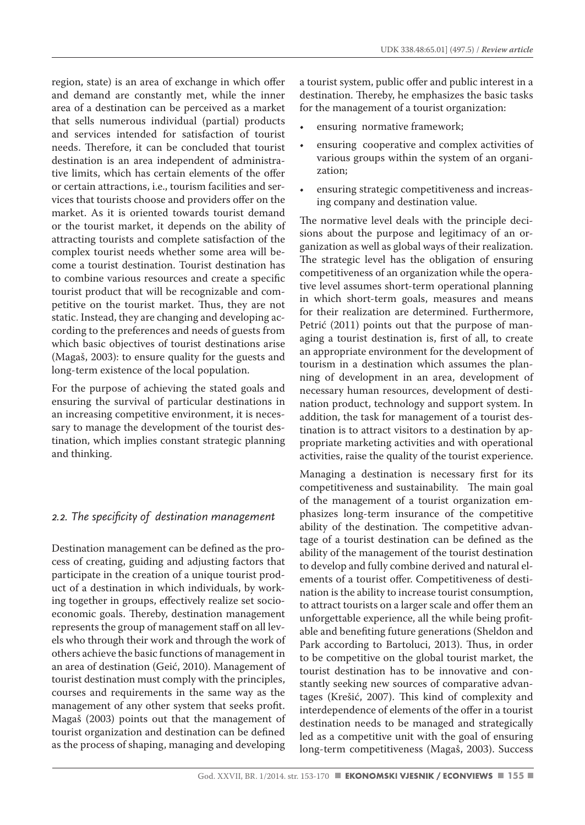region, state) is an area of exchange in which offer and demand are constantly met, while the inner area of a destination can be perceived as a market that sells numerous individual (partial) products and services intended for satisfaction of tourist needs. Therefore, it can be concluded that tourist destination is an area independent of administrative limits, which has certain elements of the offer or certain attractions, i.e., tourism facilities and services that tourists choose and providers offer on the market. As it is oriented towards tourist demand or the tourist market, it depends on the ability of attracting tourists and complete satisfaction of the complex tourist needs whether some area will become a tourist destination. Tourist destination has to combine various resources and create a specific tourist product that will be recognizable and competitive on the tourist market. Thus, they are not static. Instead, they are changing and developing according to the preferences and needs of guests from which basic objectives of tourist destinations arise (Magaš, 2003): to ensure quality for the guests and long-term existence of the local population.

For the purpose of achieving the stated goals and ensuring the survival of particular destinations in an increasing competitive environment, it is necessary to manage the development of the tourist destination, which implies constant strategic planning and thinking.

# *2.2. The specificity of destination management*

Destination management can be defined as the process of creating, guiding and adjusting factors that participate in the creation of a unique tourist product of a destination in which individuals, by working together in groups, effectively realize set socioeconomic goals. Thereby, destination management represents the group of management staff on all levels who through their work and through the work of others achieve the basic functions of management in an area of destination (Geić, 2010). Management of tourist destination must comply with the principles, courses and requirements in the same way as the management of any other system that seeks profit. Magaš (2003) points out that the management of tourist organization and destination can be defined as the process of shaping, managing and developing a tourist system, public offer and public interest in a destination. Thereby, he emphasizes the basic tasks for the management of a tourist organization:

- ensuring normative framework;
- ensuring cooperative and complex activities of various groups within the system of an organization;
- ensuring strategic competitiveness and increasing company and destination value.

The normative level deals with the principle decisions about the purpose and legitimacy of an organization as well as global ways of their realization. The strategic level has the obligation of ensuring competitiveness of an organization while the operative level assumes short-term operational planning in which short-term goals, measures and means for their realization are determined. Furthermore, Petrić (2011) points out that the purpose of managing a tourist destination is, first of all, to create an appropriate environment for the development of tourism in a destination which assumes the planning of development in an area, development of necessary human resources, development of destination product, technology and support system. In addition, the task for management of a tourist destination is to attract visitors to a destination by appropriate marketing activities and with operational activities, raise the quality of the tourist experience.

Managing a destination is necessary first for its competitiveness and sustainability. The main goal of the management of a tourist organization emphasizes long-term insurance of the competitive ability of the destination. The competitive advantage of a tourist destination can be defined as the ability of the management of the tourist destination to develop and fully combine derived and natural elements of a tourist offer. Competitiveness of destination is the ability to increase tourist consumption, to attract tourists on a larger scale and offer them an unforgettable experience, all the while being profitable and benefiting future generations (Sheldon and Park according to Bartoluci, 2013). Thus, in order to be competitive on the global tourist market, the tourist destination has to be innovative and constantly seeking new sources of comparative advantages (Krešić, 2007). This kind of complexity and interdependence of elements of the offer in a tourist destination needs to be managed and strategically led as a competitive unit with the goal of ensuring long-term competitiveness (Magaš, 2003). Success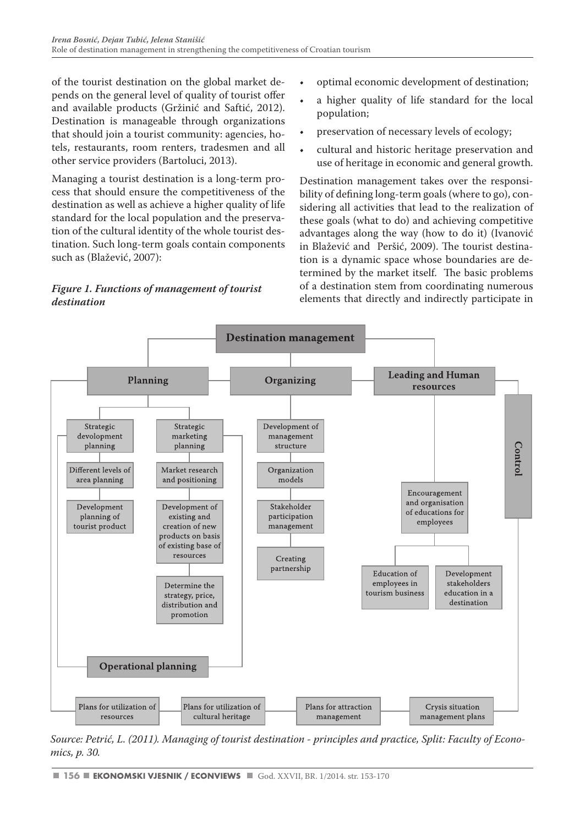of the tourist destination on the global market depends on the general level of quality of tourist offer and available products (Gržinić and Saftić, 2012). Destination is manageable through organizations that should join a tourist community: agencies, hotels, restaurants, room renters, tradesmen and all other service providers (Bartoluci, 2013).

Managing a tourist destination is a long-term process that should ensure the competitiveness of the destination as well as achieve a higher quality of life standard for the local population and the preservation of the cultural identity of the whole tourist destination. Such long-term goals contain components such as (Blažević, 2007):

# *Figure 1. Functions of management of tourist destination*

- optimal economic development of destination;
- a higher quality of life standard for the local population;
- preservation of necessary levels of ecology;
- cultural and historic heritage preservation and use of heritage in economic and general growth.

Destination management takes over the responsibility of defining long-term goals (where to go), considering all activities that lead to the realization of these goals (what to do) and achieving competitive advantages along the way (how to do it) (Ivanović in Blažević and Peršić, 2009). The tourist destination is a dynamic space whose boundaries are determined by the market itself. The basic problems of a destination stem from coordinating numerous elements that directly and indirectly participate in



*Source: Petrić, L. (2011). Managing of tourist destination - principles and practice, Split: Faculty of Economics, p. 30.*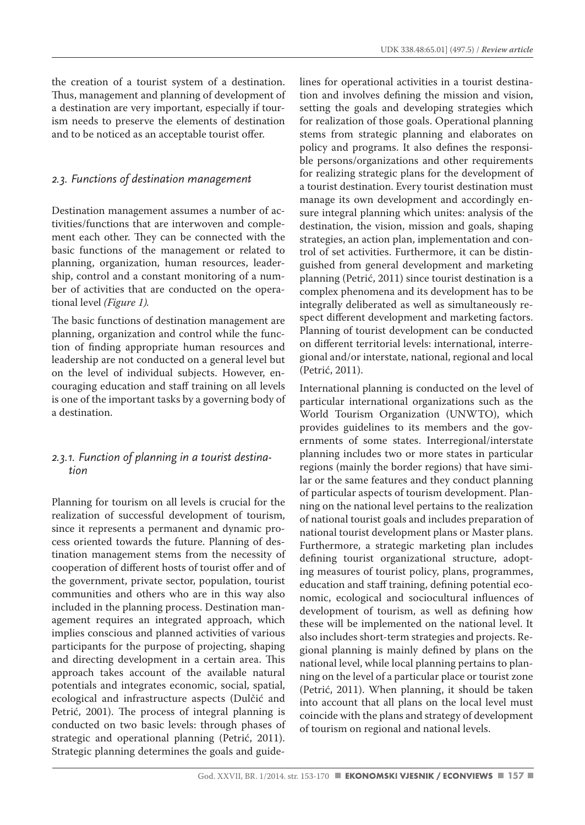the creation of a tourist system of a destination. Thus, management and planning of development of a destination are very important, especially if tourism needs to preserve the elements of destination and to be noticed as an acceptable tourist offer.

#### *2.3. Functions of destination management*

Destination management assumes a number of activities/functions that are interwoven and complement each other. They can be connected with the basic functions of the management or related to planning, organization, human resources, leadership, control and a constant monitoring of a number of activities that are conducted on the operational level *(Figure 1).*

The basic functions of destination management are planning, organization and control while the function of finding appropriate human resources and leadership are not conducted on a general level but on the level of individual subjects. However, encouraging education and staff training on all levels is one of the important tasks by a governing body of a destination.

#### *2.3.1. Function of planning in a tourist destination*

Planning for tourism on all levels is crucial for the realization of successful development of tourism, since it represents a permanent and dynamic process oriented towards the future. Planning of destination management stems from the necessity of cooperation of different hosts of tourist offer and of the government, private sector, population, tourist communities and others who are in this way also included in the planning process. Destination management requires an integrated approach, which implies conscious and planned activities of various participants for the purpose of projecting, shaping and directing development in a certain area. This approach takes account of the available natural potentials and integrates economic, social, spatial, ecological and infrastructure aspects (Dulčić and Petrić, 2001). The process of integral planning is conducted on two basic levels: through phases of strategic and operational planning (Petrić, 2011). Strategic planning determines the goals and guidelines for operational activities in a tourist destination and involves defining the mission and vision, setting the goals and developing strategies which for realization of those goals. Operational planning stems from strategic planning and elaborates on policy and programs. It also defines the responsible persons/organizations and other requirements for realizing strategic plans for the development of a tourist destination. Every tourist destination must manage its own development and accordingly ensure integral planning which unites: analysis of the destination, the vision, mission and goals, shaping strategies, an action plan, implementation and control of set activities. Furthermore, it can be distinguished from general development and marketing planning (Petrić, 2011) since tourist destination is a complex phenomena and its development has to be integrally deliberated as well as simultaneously respect different development and marketing factors. Planning of tourist development can be conducted on different territorial levels: international, interregional and/or interstate, national, regional and local (Petrić, 2011).

International planning is conducted on the level of particular international organizations such as the World Tourism Organization (UNWTO), which provides guidelines to its members and the governments of some states. Interregional/interstate planning includes two or more states in particular regions (mainly the border regions) that have similar or the same features and they conduct planning of particular aspects of tourism development. Planning on the national level pertains to the realization of national tourist goals and includes preparation of national tourist development plans or Master plans. Furthermore, a strategic marketing plan includes defining tourist organizational structure, adopting measures of tourist policy, plans, programmes, education and staff training, defining potential economic, ecological and sociocultural influences of development of tourism, as well as defining how these will be implemented on the national level. It also includes short-term strategies and projects. Regional planning is mainly defined by plans on the national level, while local planning pertains to planning on the level of a particular place or tourist zone (Petrić, 2011). When planning, it should be taken into account that all plans on the local level must coincide with the plans and strategy of development of tourism on regional and national levels.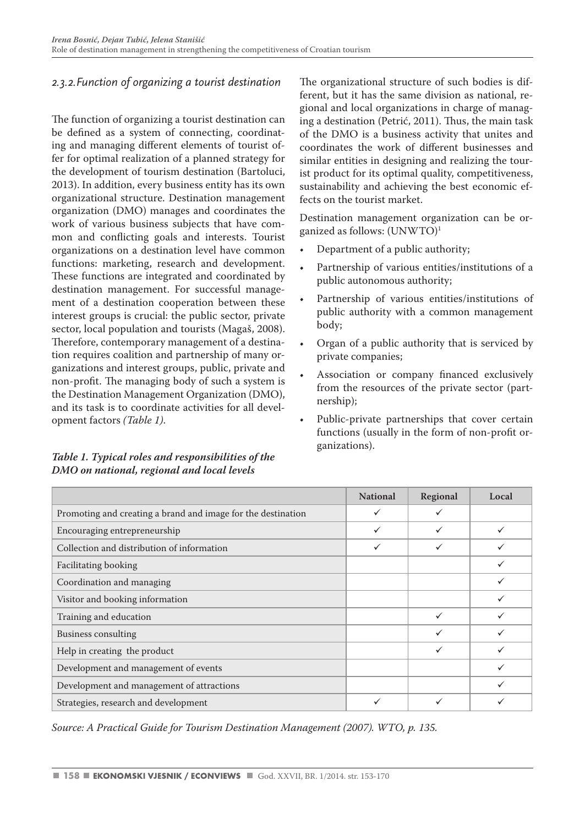# *2.3.2.Function of organizing a tourist destination*

The function of organizing a tourist destination can be defined as a system of connecting, coordinating and managing different elements of tourist offer for optimal realization of a planned strategy for the development of tourism destination (Bartoluci, 2013). In addition, every business entity has its own organizational structure. Destination management organization (DMO) manages and coordinates the work of various business subjects that have common and conflicting goals and interests. Tourist organizations on a destination level have common functions: marketing, research and development. These functions are integrated and coordinated by destination management. For successful management of a destination cooperation between these interest groups is crucial: the public sector, private sector, local population and tourists (Magaš, 2008). Therefore, contemporary management of a destination requires coalition and partnership of many organizations and interest groups, public, private and non-profit. The managing body of such a system is the Destination Management Organization (DMO), and its task is to coordinate activities for all development factors *(Table 1)*.

# *Table 1. Typical roles and responsibilities of the DMO on national, regional and local levels*

The organizational structure of such bodies is different, but it has the same division as national, regional and local organizations in charge of managing a destination (Petrić, 2011). Thus, the main task of the DMO is a business activity that unites and coordinates the work of different businesses and similar entities in designing and realizing the tourist product for its optimal quality, competitiveness, sustainability and achieving the best economic effects on the tourist market.

Destination management organization can be organized as follows: (UNWTO)<sup>1</sup>

- Department of a public authority;
- Partnership of various entities/institutions of a public autonomous authority;
- Partnership of various entities/institutions of public authority with a common management body;
- Organ of a public authority that is serviced by private companies;
- Association or company financed exclusively from the resources of the private sector (partnership);
- Public-private partnerships that cover certain functions (usually in the form of non-profit organizations).

|                                                              | <b>National</b> | Regional     | Local |
|--------------------------------------------------------------|-----------------|--------------|-------|
| Promoting and creating a brand and image for the destination | ✓               | ✓            |       |
| Encouraging entrepreneurship                                 | ✓               | $\checkmark$ |       |
| Collection and distribution of information                   | ✓               | $\checkmark$ |       |
| Facilitating booking                                         |                 |              |       |
| Coordination and managing                                    |                 |              |       |
| Visitor and booking information                              |                 |              |       |
| Training and education                                       |                 | $\checkmark$ |       |
| <b>Business consulting</b>                                   |                 | ✓            |       |
| Help in creating the product                                 |                 | ✓            |       |
| Development and management of events                         |                 |              |       |
| Development and management of attractions                    |                 |              |       |
| Strategies, research and development                         | ✓               | ✓            |       |

*Source: A Practical Guide for Tourism Destination Management (2007). WTO, p. 135.*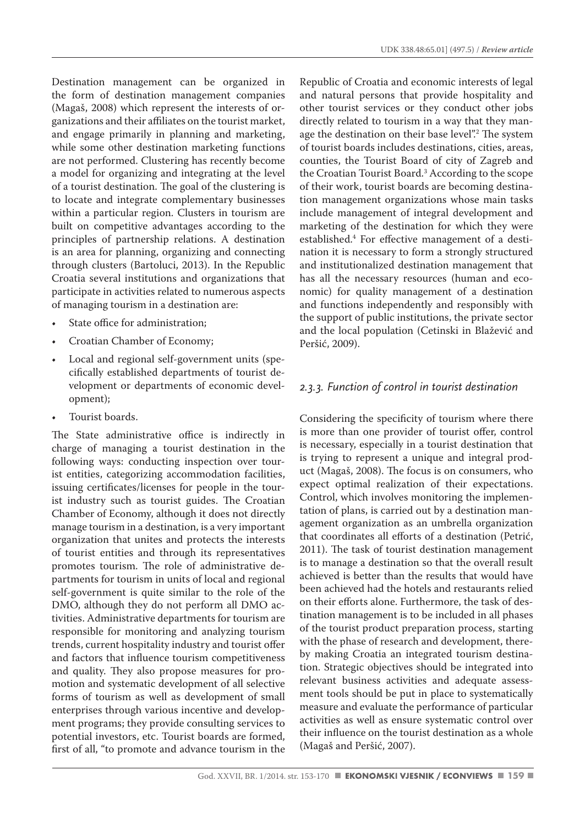Destination management can be organized in the form of destination management companies (Magaš, 2008) which represent the interests of organizations and their affiliates on the tourist market, and engage primarily in planning and marketing, while some other destination marketing functions are not performed. Clustering has recently become a model for organizing and integrating at the level of a tourist destination. The goal of the clustering is to locate and integrate complementary businesses within a particular region. Clusters in tourism are built on competitive advantages according to the principles of partnership relations. A destination is an area for planning, organizing and connecting through clusters (Bartoluci, 2013). In the Republic Croatia several institutions and organizations that participate in activities related to numerous aspects of managing tourism in a destination are:

- State office for administration;
- Croatian Chamber of Economy;
- Local and regional self-government units (specifically established departments of tourist development or departments of economic development);
- Tourist boards.

The State administrative office is indirectly in charge of managing a tourist destination in the following ways: conducting inspection over tourist entities, categorizing accommodation facilities, issuing certificates/licenses for people in the tourist industry such as tourist guides. The Croatian Chamber of Economy, although it does not directly manage tourism in a destination, is a very important organization that unites and protects the interests of tourist entities and through its representatives promotes tourism. The role of administrative departments for tourism in units of local and regional self-government is quite similar to the role of the DMO, although they do not perform all DMO activities. Administrative departments for tourism are responsible for monitoring and analyzing tourism trends, current hospitality industry and tourist offer and factors that influence tourism competitiveness and quality. They also propose measures for promotion and systematic development of all selective forms of tourism as well as development of small enterprises through various incentive and development programs; they provide consulting services to potential investors, etc. Tourist boards are formed, first of all, "to promote and advance tourism in the Republic of Croatia and economic interests of legal and natural persons that provide hospitality and other tourist services or they conduct other jobs directly related to tourism in a way that they manage the destination on their base level".2 The system of tourist boards includes destinations, cities, areas, counties, the Tourist Board of city of Zagreb and the Croatian Tourist Board.3 According to the scope of their work, tourist boards are becoming destination management organizations whose main tasks include management of integral development and marketing of the destination for which they were established.4 For effective management of a destination it is necessary to form a strongly structured and institutionalized destination management that has all the necessary resources (human and economic) for quality management of a destination and functions independently and responsibly with the support of public institutions, the private sector and the local population (Cetinski in Blažević and Peršić, 2009).

# *2.3.3. Function of control in tourist destination*

Considering the specificity of tourism where there is more than one provider of tourist offer, control is necessary, especially in a tourist destination that is trying to represent a unique and integral product (Magaš, 2008). The focus is on consumers, who expect optimal realization of their expectations. Control, which involves monitoring the implementation of plans, is carried out by a destination management organization as an umbrella organization that coordinates all efforts of a destination (Petrić, 2011). The task of tourist destination management is to manage a destination so that the overall result achieved is better than the results that would have been achieved had the hotels and restaurants relied on their efforts alone. Furthermore, the task of destination management is to be included in all phases of the tourist product preparation process, starting with the phase of research and development, thereby making Croatia an integrated tourism destination. Strategic objectives should be integrated into relevant business activities and adequate assessment tools should be put in place to systematically measure and evaluate the performance of particular activities as well as ensure systematic control over their influence on the tourist destination as a whole (Magaš and Peršić, 2007).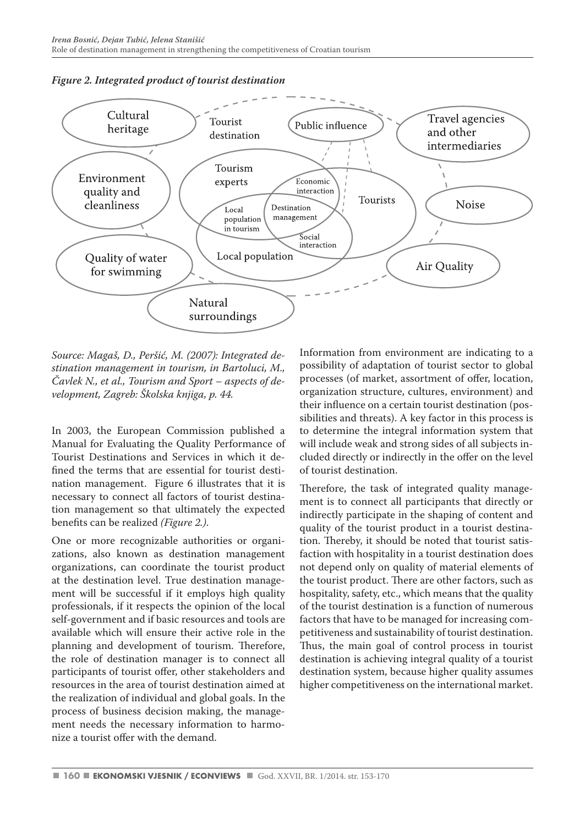

#### *Figure 2. Integrated product of tourist destination*

*Source: Magaš, D., Peršić, M. (2007): Integrated destination management in tourism, in Bartoluci, M., Čavlek N., et al., Tourism and Sport – aspects of development, Zagreb: Školska knjiga, p. 44.* 

In 2003, the European Commission published a Manual for Evaluating the Quality Performance of Tourist Destinations and Services in which it defined the terms that are essential for tourist destination management. Figure 6 illustrates that it is necessary to connect all factors of tourist destination management so that ultimately the expected benefits can be realized *(Figure 2.)*.

One or more recognizable authorities or organizations, also known as destination management organizations, can coordinate the tourist product at the destination level. True destination management will be successful if it employs high quality professionals, if it respects the opinion of the local self-government and if basic resources and tools are available which will ensure their active role in the planning and development of tourism. Therefore, the role of destination manager is to connect all participants of tourist offer, other stakeholders and resources in the area of tourist destination aimed at the realization of individual and global goals. In the process of business decision making, the management needs the necessary information to harmonize a tourist offer with the demand.

Information from environment are indicating to a possibility of adaptation of tourist sector to global processes (of market, assortment of offer, location, organization structure, cultures, environment) and their influence on a certain tourist destination (possibilities and threats). A key factor in this process is to determine the integral information system that will include weak and strong sides of all subjects included directly or indirectly in the offer on the level of tourist destination.

Therefore, the task of integrated quality management is to connect all participants that directly or indirectly participate in the shaping of content and quality of the tourist product in a tourist destination. Thereby, it should be noted that tourist satisfaction with hospitality in a tourist destination does not depend only on quality of material elements of the tourist product. There are other factors, such as hospitality, safety, etc., which means that the quality of the tourist destination is a function of numerous factors that have to be managed for increasing competitiveness and sustainability of tourist destination. Thus, the main goal of control process in tourist destination is achieving integral quality of a tourist destination system, because higher quality assumes higher competitiveness on the international market.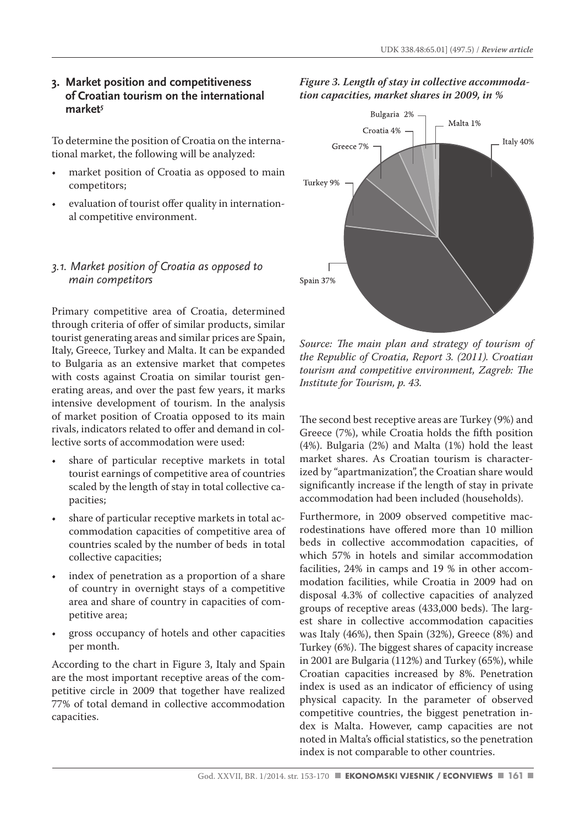#### **3. Market position and competitiveness of Croatian tourism on the international market***<sup>5</sup>*

To determine the position of Croatia on the international market, the following will be analyzed:

- market position of Croatia as opposed to main competitors;
- evaluation of tourist offer quality in international competitive environment.

# *3.1. Market position of Croatia as opposed to main competitors*

Primary competitive area of Croatia, determined through criteria of offer of similar products, similar tourist generating areas and similar prices are Spain, Italy, Greece, Turkey and Malta. It can be expanded to Bulgaria as an extensive market that competes with costs against Croatia on similar tourist generating areas, and over the past few years, it marks intensive development of tourism. In the analysis of market position of Croatia opposed to its main rivals, indicators related to offer and demand in collective sorts of accommodation were used:

- share of particular receptive markets in total tourist earnings of competitive area of countries scaled by the length of stay in total collective capacities;
- share of particular receptive markets in total accommodation capacities of competitive area of countries scaled by the number of beds in total collective capacities;
- index of penetration as a proportion of a share of country in overnight stays of a competitive area and share of country in capacities of competitive area;
- gross occupancy of hotels and other capacities per month.

According to the chart in Figure 3, Italy and Spain are the most important receptive areas of the competitive circle in 2009 that together have realized 77% of total demand in collective accommodation capacities.





*Source: The main plan and strategy of tourism of the Republic of Croatia, Report 3. (2011). Croatian tourism and competitive environment, Zagreb: The Institute for Tourism, p. 43.* 

The second best receptive areas are Turkey (9%) and Greece (7%), while Croatia holds the fifth position (4%). Bulgaria (2%) and Malta (1%) hold the least market shares. As Croatian tourism is characterized by "apartmanization", the Croatian share would significantly increase if the length of stay in private accommodation had been included (households).

Furthermore, in 2009 observed competitive macrodestinations have offered more than 10 million beds in collective accommodation capacities, of which 57% in hotels and similar accommodation facilities, 24% in camps and 19 % in other accommodation facilities, while Croatia in 2009 had on disposal 4.3% of collective capacities of analyzed groups of receptive areas (433,000 beds). The largest share in collective accommodation capacities was Italy (46%), then Spain (32%), Greece (8%) and Turkey (6%). The biggest shares of capacity increase in 2001 are Bulgaria (112%) and Turkey (65%), while Croatian capacities increased by 8%. Penetration index is used as an indicator of efficiency of using physical capacity. In the parameter of observed competitive countries, the biggest penetration index is Malta. However, camp capacities are not noted in Malta's official statistics, so the penetration index is not comparable to other countries.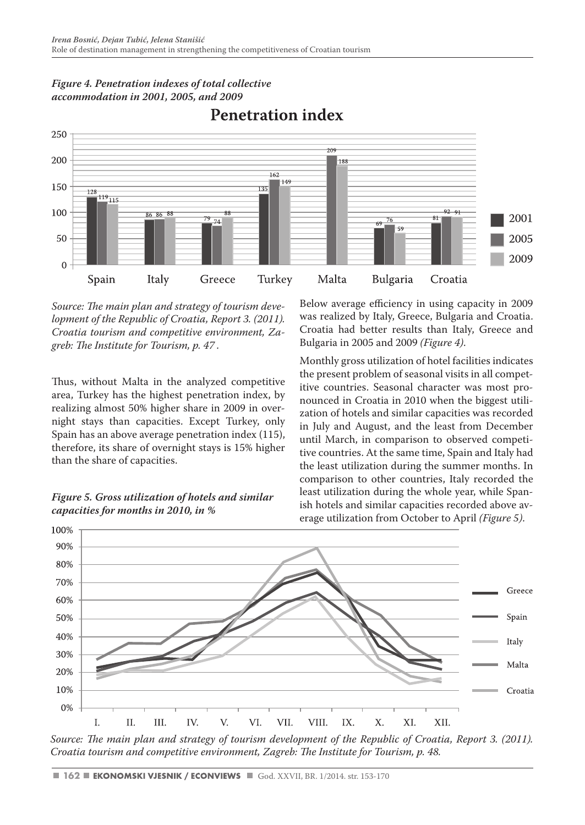

# *Figure 4. Penetration indexes of total collective accommodation in 2001, 2005, and 2009*

*Source: The main plan and strategy of tourism development of the Republic of Croatia, Report 3. (2011). Croatia tourism and competitive environment, Zagreb: The Institute for Tourism, p. 47 .*

Thus, without Malta in the analyzed competitive area, Turkey has the highest penetration index, by realizing almost 50% higher share in 2009 in overnight stays than capacities. Except Turkey, only Spain has an above average penetration index (115), therefore, its share of overnight stays is 15% higher than the share of capacities.



100%

Below average efficiency in using capacity in 2009 was realized by Italy, Greece, Bulgaria and Croatia. Croatia had better results than Italy, Greece and Bulgaria in 2005 and 2009 *(Figure 4)*.

Monthly gross utilization of hotel facilities indicates the present problem of seasonal visits in all competitive countries. Seasonal character was most pronounced in Croatia in 2010 when the biggest utilization of hotels and similar capacities was recorded in July and August, and the least from December until March, in comparison to observed competitive countries. At the same time, Spain and Italy had the least utilization during the summer months. In comparison to other countries, Italy recorded the least utilization during the whole year, while Spanish hotels and similar capacities recorded above average utilization from October to April *(Figure 5)*.



Source: The main plan and strategy of tourism development of the Republic of Croatia, Report 3. (2011). *Croatia tourism and competitive environment, Zagreb: The Institute for Tourism, p. 48.*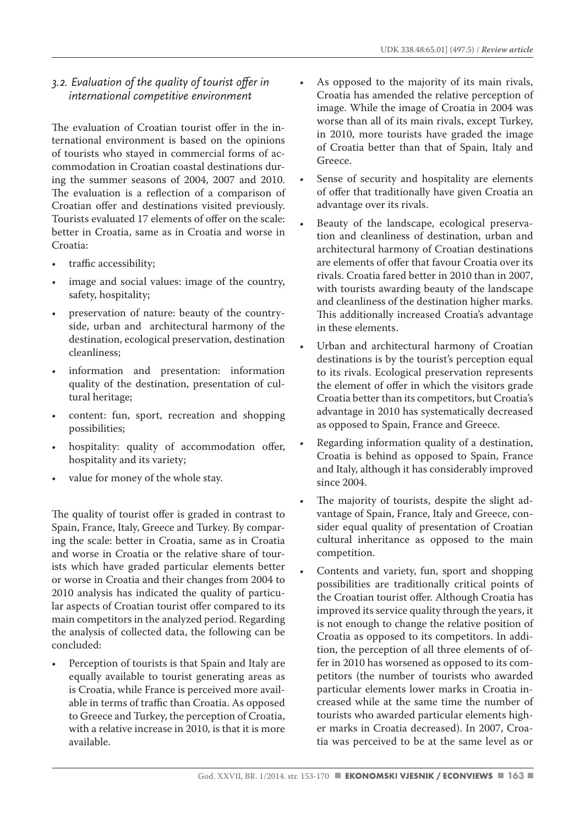# *3.2. Evaluation of the quality of tourist offer in international competitive environment*

The evaluation of Croatian tourist offer in the international environment is based on the opinions of tourists who stayed in commercial forms of accommodation in Croatian coastal destinations during the summer seasons of 2004, 2007 and 2010. The evaluation is a reflection of a comparison of Croatian offer and destinations visited previously. Tourists evaluated 17 elements of offer on the scale: better in Croatia, same as in Croatia and worse in Croatia:

- traffic accessibility;
- image and social values: image of the country, safety, hospitality;
- preservation of nature: beauty of the countryside, urban and architectural harmony of the destination, ecological preservation, destination cleanliness;
- information and presentation: information quality of the destination, presentation of cultural heritage;
- content: fun, sport, recreation and shopping possibilities;
- hospitality: quality of accommodation offer, hospitality and its variety;
- value for money of the whole stay.

The quality of tourist offer is graded in contrast to Spain, France, Italy, Greece and Turkey. By comparing the scale: better in Croatia, same as in Croatia and worse in Croatia or the relative share of tourists which have graded particular elements better or worse in Croatia and their changes from 2004 to 2010 analysis has indicated the quality of particular aspects of Croatian tourist offer compared to its main competitors in the analyzed period. Regarding the analysis of collected data, the following can be concluded:

Perception of tourists is that Spain and Italy are equally available to tourist generating areas as is Croatia, while France is perceived more available in terms of traffic than Croatia. As opposed to Greece and Turkey, the perception of Croatia, with a relative increase in 2010, is that it is more available.

- As opposed to the majority of its main rivals, Croatia has amended the relative perception of image. While the image of Croatia in 2004 was worse than all of its main rivals, except Turkey, in 2010, more tourists have graded the image of Croatia better than that of Spain, Italy and Greece.
- Sense of security and hospitality are elements of offer that traditionally have given Croatia an advantage over its rivals.
- Beauty of the landscape, ecological preservation and cleanliness of destination, urban and architectural harmony of Croatian destinations are elements of offer that favour Croatia over its rivals. Croatia fared better in 2010 than in 2007, with tourists awarding beauty of the landscape and cleanliness of the destination higher marks. This additionally increased Croatia's advantage in these elements.
- Urban and architectural harmony of Croatian destinations is by the tourist's perception equal to its rivals. Ecological preservation represents the element of offer in which the visitors grade Croatia better than its competitors, but Croatia's advantage in 2010 has systematically decreased as opposed to Spain, France and Greece.
- Regarding information quality of a destination, Croatia is behind as opposed to Spain, France and Italy, although it has considerably improved since 2004.
- The majority of tourists, despite the slight advantage of Spain, France, Italy and Greece, consider equal quality of presentation of Croatian cultural inheritance as opposed to the main competition.
- Contents and variety, fun, sport and shopping possibilities are traditionally critical points of the Croatian tourist offer. Although Croatia has improved its service quality through the years, it is not enough to change the relative position of Croatia as opposed to its competitors. In addition, the perception of all three elements of offer in 2010 has worsened as opposed to its competitors (the number of tourists who awarded particular elements lower marks in Croatia increased while at the same time the number of tourists who awarded particular elements higher marks in Croatia decreased). In 2007, Croatia was perceived to be at the same level as or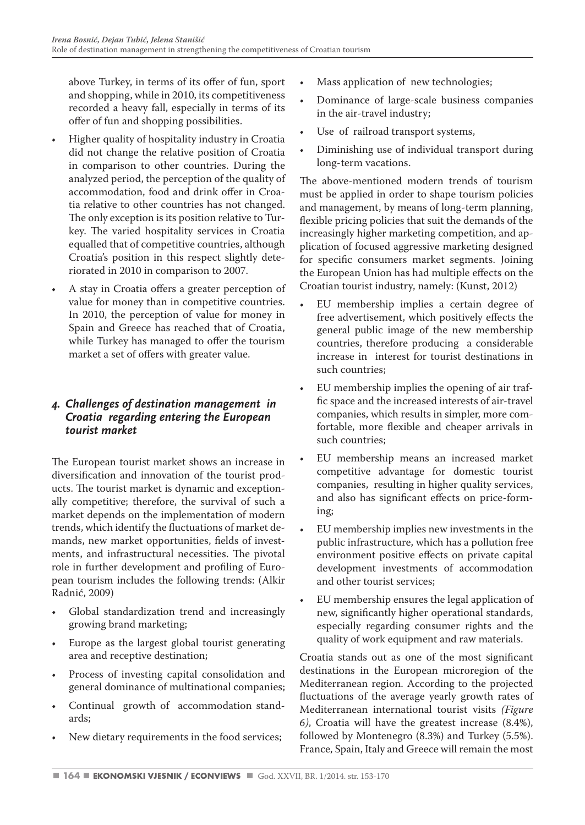above Turkey, in terms of its offer of fun, sport and shopping, while in 2010, its competitiveness recorded a heavy fall, especially in terms of its offer of fun and shopping possibilities.

- Higher quality of hospitality industry in Croatia did not change the relative position of Croatia in comparison to other countries. During the analyzed period, the perception of the quality of accommodation, food and drink offer in Croatia relative to other countries has not changed. The only exception is its position relative to Turkey. The varied hospitality services in Croatia equalled that of competitive countries, although Croatia's position in this respect slightly deteriorated in 2010 in comparison to 2007.
- A stay in Croatia offers a greater perception of value for money than in competitive countries. In 2010, the perception of value for money in Spain and Greece has reached that of Croatia, while Turkey has managed to offer the tourism market a set of offers with greater value.

# *4. Challenges of destination management in Croatia regarding entering the European tourist market*

The European tourist market shows an increase in diversification and innovation of the tourist products. The tourist market is dynamic and exceptionally competitive; therefore, the survival of such a market depends on the implementation of modern trends, which identify the fluctuations of market demands, new market opportunities, fields of investments, and infrastructural necessities. The pivotal role in further development and profiling of European tourism includes the following trends: (Alkir Radnić, 2009)

- Global standardization trend and increasingly growing brand marketing;
- Europe as the largest global tourist generating area and receptive destination;
- Process of investing capital consolidation and general dominance of multinational companies;
- Continual growth of accommodation standards;
- New dietary requirements in the food services;
- Mass application of new technologies;
- Dominance of large-scale business companies in the air-travel industry;
- Use of railroad transport systems,
- Diminishing use of individual transport during long-term vacations.

The above-mentioned modern trends of tourism must be applied in order to shape tourism policies and management, by means of long-term planning, flexible pricing policies that suit the demands of the increasingly higher marketing competition, and application of focused aggressive marketing designed for specific consumers market segments. Joining the European Union has had multiple effects on the Croatian tourist industry, namely: (Kunst, 2012)

- EU membership implies a certain degree of free advertisement, which positively effects the general public image of the new membership countries, therefore producing a considerable increase in interest for tourist destinations in such countries;
- EU membership implies the opening of air traffic space and the increased interests of air-travel companies, which results in simpler, more comfortable, more flexible and cheaper arrivals in such countries;
- EU membership means an increased market competitive advantage for domestic tourist companies, resulting in higher quality services, and also has significant effects on price-forming;
- EU membership implies new investments in the public infrastructure, which has a pollution free environment positive effects on private capital development investments of accommodation and other tourist services;
- EU membership ensures the legal application of new, significantly higher operational standards, especially regarding consumer rights and the quality of work equipment and raw materials.

Croatia stands out as one of the most significant destinations in the European microregion of the Mediterranean region. According to the projected fluctuations of the average yearly growth rates of Mediterranean international tourist visits *(Figure 6)*, Croatia will have the greatest increase (8.4%), followed by Montenegro (8.3%) and Turkey (5.5%). France, Spain, Italy and Greece will remain the most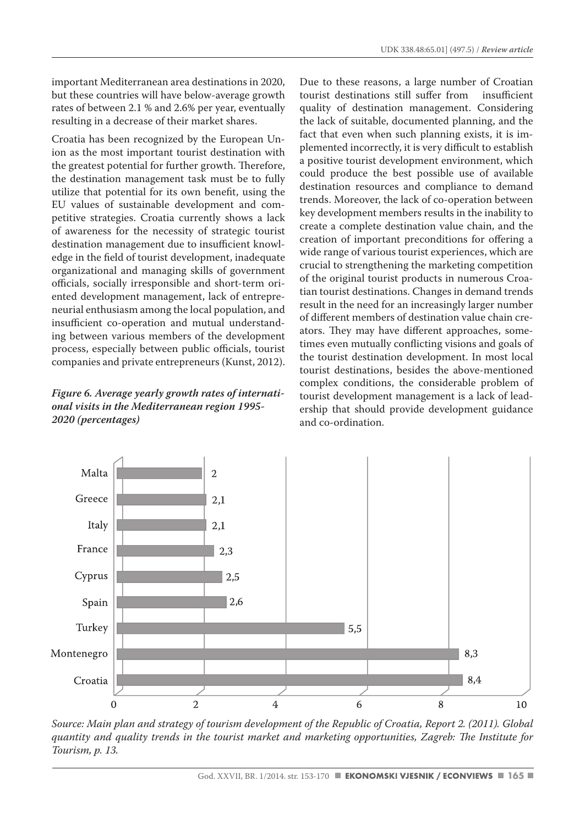important Mediterranean area destinations in 2020, but these countries will have below-average growth rates of between 2.1 % and 2.6% per year, eventually resulting in a decrease of their market shares.

Croatia has been recognized by the European Union as the most important tourist destination with the greatest potential for further growth. Therefore, the destination management task must be to fully utilize that potential for its own benefit, using the EU values of sustainable development and competitive strategies. Croatia currently shows a lack of awareness for the necessity of strategic tourist destination management due to insufficient knowledge in the field of tourist development, inadequate organizational and managing skills of government officials, socially irresponsible and short-term oriented development management, lack of entrepreneurial enthusiasm among the local population, and insufficient co-operation and mutual understanding between various members of the development process, especially between public officials, tourist companies and private entrepreneurs (Kunst, 2012).

### *Figure 6. Average yearly growth rates of international visits in the Mediterranean region 1995- 2020 (percentages)*

Due to these reasons, a large number of Croatian<br>tourist destinations still suffer from insufficient tourist destinations still suffer from quality of destination management. Considering the lack of suitable, documented planning, and the fact that even when such planning exists, it is implemented incorrectly, it is very difficult to establish a positive tourist development environment, which could produce the best possible use of available destination resources and compliance to demand trends. Moreover, the lack of co-operation between key development members results in the inability to create a complete destination value chain, and the creation of important preconditions for offering a wide range of various tourist experiences, which are crucial to strengthening the marketing competition of the original tourist products in numerous Croatian tourist destinations. Changes in demand trends result in the need for an increasingly larger number of different members of destination value chain creators. They may have different approaches, sometimes even mutually conflicting visions and goals of the tourist destination development. In most local tourist destinations, besides the above-mentioned complex conditions, the considerable problem of tourist development management is a lack of leadership that should provide development guidance and co-ordination.



*Source: Main plan and strategy of tourism development of the Republic of Croatia, Report 2. (2011). Global quantity and quality trends in the tourist market and marketing opportunities, Zagreb: The Institute for Tourism, p. 13.*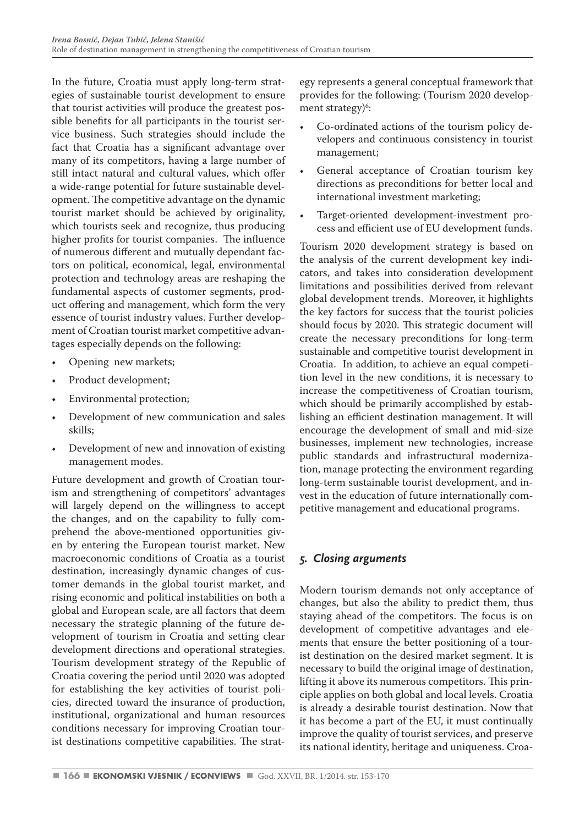In the future, Croatia must apply long-term strategies of sustainable tourist development to ensure that tourist activities will produce the greatest possible benefits for all participants in the tourist service business. Such strategies should include the fact that Croatia has a significant advantage over many of its competitors, having a large number of still intact natural and cultural values, which offer a wide-range potential for future sustainable development. The competitive advantage on the dynamic tourist market should be achieved by originality, which tourists seek and recognize, thus producing higher profits for tourist companies. The influence of numerous different and mutually dependant factors on political, economical, legal, environmental protection and technology areas are reshaping the fundamental aspects of customer segments, product offering and management, which form the very essence of tourist industry values. Further development of Croatian tourist market competitive advantages especially depends on the following:

- Opening new markets;
- Product development;
- Environmental protection;
- Development of new communication and sales skills;
- Development of new and innovation of existing management modes.

Future development and growth of Croatian tourism and strengthening of competitors' advantages will largely depend on the willingness to accept the changes, and on the capability to fully comprehend the above-mentioned opportunities given by entering the European tourist market. New macroeconomic conditions of Croatia as a tourist destination, increasingly dynamic changes of customer demands in the global tourist market, and rising economic and political instabilities on both a global and European scale, are all factors that deem necessary the strategic planning of the future development of tourism in Croatia and setting clear development directions and operational strategies. Tourism development strategy of the Republic of Croatia covering the period until 2020 was adopted for establishing the key activities of tourist policies, directed toward the insurance of production, institutional, organizational and human resources conditions necessary for improving Croatian tourist destinations competitive capabilities. The strategy represents a general conceptual framework that provides for the following: (Tourism 2020 development strategy)<sup>6</sup>:

- Co-ordinated actions of the tourism policy developers and continuous consistency in tourist management;
- General acceptance of Croatian tourism key directions as preconditions for better local and international investment marketing;
- Target-oriented development-investment process and efficient use of EU development funds.

Tourism 2020 development strategy is based on the analysis of the current development key indicators, and takes into consideration development limitations and possibilities derived from relevant global development trends. Moreover, it highlights the key factors for success that the tourist policies should focus by 2020. This strategic document will create the necessary preconditions for long-term sustainable and competitive tourist development in Croatia. In addition, to achieve an equal competition level in the new conditions, it is necessary to increase the competitiveness of Croatian tourism, which should be primarily accomplished by establishing an efficient destination management. It will encourage the development of small and mid-size businesses, implement new technologies, increase public standards and infrastructural modernization, manage protecting the environment regarding long-term sustainable tourist development, and invest in the education of future internationally competitive management and educational programs.

# *5. Closing arguments*

Modern tourism demands not only acceptance of changes, but also the ability to predict them, thus staying ahead of the competitors. The focus is on development of competitive advantages and elements that ensure the better positioning of a tourist destination on the desired market segment. It is necessary to build the original image of destination, lifting it above its numerous competitors. This principle applies on both global and local levels. Croatia is already a desirable tourist destination. Now that it has become a part of the EU, it must continually improve the quality of tourist services, and preserve its national identity, heritage and uniqueness. Croa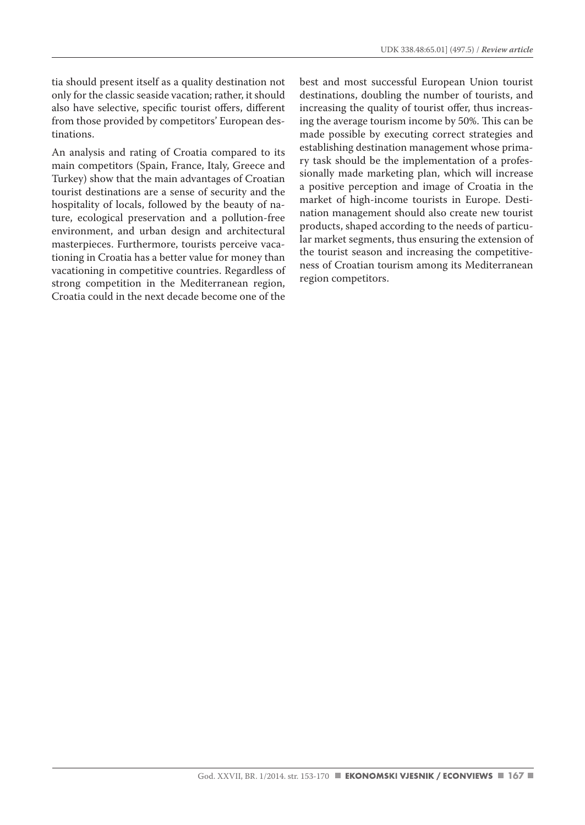tia should present itself as a quality destination not only for the classic seaside vacation; rather, it should also have selective, specific tourist offers, different from those provided by competitors' European destinations.

An analysis and rating of Croatia compared to its main competitors (Spain, France, Italy, Greece and Turkey) show that the main advantages of Croatian tourist destinations are a sense of security and the hospitality of locals, followed by the beauty of nature, ecological preservation and a pollution-free environment, and urban design and architectural masterpieces. Furthermore, tourists perceive vacationing in Croatia has a better value for money than vacationing in competitive countries. Regardless of strong competition in the Mediterranean region, Croatia could in the next decade become one of the best and most successful European Union tourist destinations, doubling the number of tourists, and increasing the quality of tourist offer, thus increasing the average tourism income by 50%. This can be made possible by executing correct strategies and establishing destination management whose primary task should be the implementation of a professionally made marketing plan, which will increase a positive perception and image of Croatia in the market of high-income tourists in Europe. Destination management should also create new tourist products, shaped according to the needs of particular market segments, thus ensuring the extension of the tourist season and increasing the competitiveness of Croatian tourism among its Mediterranean region competitors.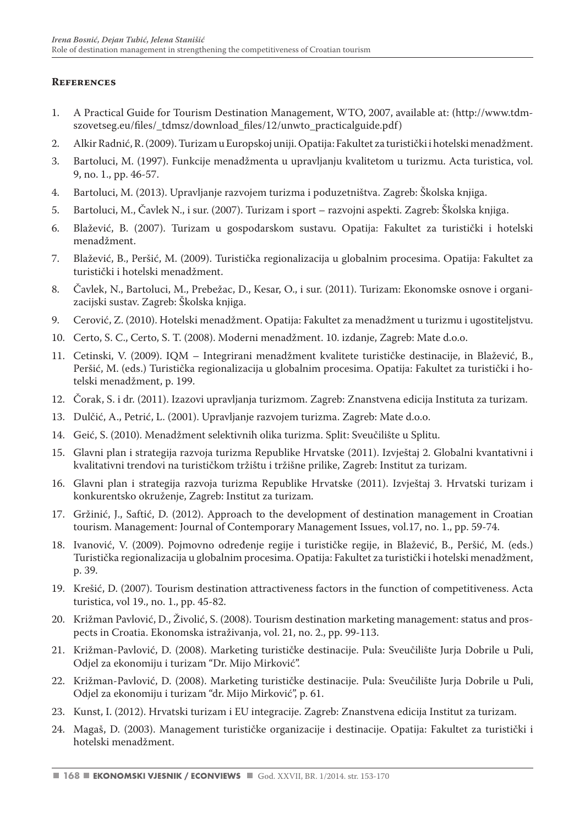# **References**

- 1. A Practical Guide for Tourism Destination Management, WTO, 2007, available at: (http://www.tdmszovetseg.eu/files/\_tdmsz/download\_files/12/unwto\_practicalguide.pdf)
- 2. Alkir Radnić, R. (2009). Turizam u Europskoj uniji. Opatija: Fakultet za turistički i hotelski menadžment.
- 3. Bartoluci, M. (1997). Funkcije menadžmenta u upravljanju kvalitetom u turizmu. Acta turistica, vol. 9, no. 1., pp. 46-57.
- 4. Bartoluci, M. (2013). Upravljanje razvojem turizma i poduzetništva. Zagreb: Školska knjiga.
- 5. Bartoluci, M., Čavlek N., i sur. (2007). Turizam i sport razvojni aspekti. Zagreb: Školska knjiga.
- 6. Blažević, B. (2007). Turizam u gospodarskom sustavu. Opatija: Fakultet za turistički i hotelski menadžment.
- 7. Blažević, B., Peršić, M. (2009). Turistička regionalizacija u globalnim procesima. Opatija: Fakultet za turistički i hotelski menadžment.
- 8. Čavlek, N., Bartoluci, M., Prebežac, D., Kesar, O., i sur. (2011). Turizam: Ekonomske osnove i organizacijski sustav. Zagreb: Školska knjiga.
- 9. Cerović, Z. (2010). Hotelski menadžment. Opatija: Fakultet za menadžment u turizmu i ugostiteljstvu.
- 10. Certo, S. C., Certo, S. T. (2008). Moderni menadžment. 10. izdanje, Zagreb: Mate d.o.o.
- 11. Cetinski, V. (2009). IQM Integrirani menadžment kvalitete turističke destinacije, in Blažević, B., Peršić, M. (eds.) Turistička regionalizacija u globalnim procesima. Opatija: Fakultet za turistički i hotelski menadžment, p. 199.
- 12. Čorak, S. i dr. (2011). Izazovi upravljanja turizmom. Zagreb: Znanstvena edicija Instituta za turizam.
- 13. Dulčić, A., Petrić, L. (2001). Upravljanje razvojem turizma. Zagreb: Mate d.o.o.
- 14. Geić, S. (2010). Menadžment selektivnih olika turizma. Split: Sveučilište u Splitu.
- 15. Glavni plan i strategija razvoja turizma Republike Hrvatske (2011). Izvještaj 2. Globalni kvantativni i kvalitativni trendovi na turističkom tržištu i tržišne prilike, Zagreb: Institut za turizam.
- 16. Glavni plan i strategija razvoja turizma Republike Hrvatske (2011). Izvještaj 3. Hrvatski turizam i konkurentsko okruženje, Zagreb: Institut za turizam.
- 17. Gržinić, J., Saftić, D. (2012). Approach to the development of destination management in Croatian tourism. Management: Journal of Contemporary Management Issues, vol.17, no. 1., pp. 59-74.
- 18. Ivanović, V. (2009). Pojmovno određenje regije i turističke regije, in Blažević, B., Peršić, M. (eds.) Turistička regionalizacija u globalnim procesima. Opatija: Fakultet za turistički i hotelski menadžment, p. 39.
- 19. Krešić, D. (2007). Tourism destination attractiveness factors in the function of competitiveness. Acta turistica, vol 19., no. 1., pp. 45-82.
- 20. Križman Pavlović, D., Živolić, S. (2008). Tourism destination marketing management: status and prospects in Croatia. Ekonomska istraživanja, vol. 21, no. 2., pp. 99-113.
- 21. Križman-Pavlović, D. (2008). Marketing turističke destinacije. Pula: Sveučilište Jurja Dobrile u Puli, Odjel za ekonomiju i turizam "Dr. Mijo Mirković".
- 22. Križman-Pavlović, D. (2008). Marketing turističke destinacije. Pula: Sveučilište Jurja Dobrile u Puli, Odjel za ekonomiju i turizam "dr. Mijo Mirković", p. 61.
- 23. Kunst, I. (2012). Hrvatski turizam i EU integracije. Zagreb: Znanstvena edicija Institut za turizam.
- 24. Magaš, D. (2003). Management turističke organizacije i destinacije. Opatija: Fakultet za turistički i hotelski menadžment.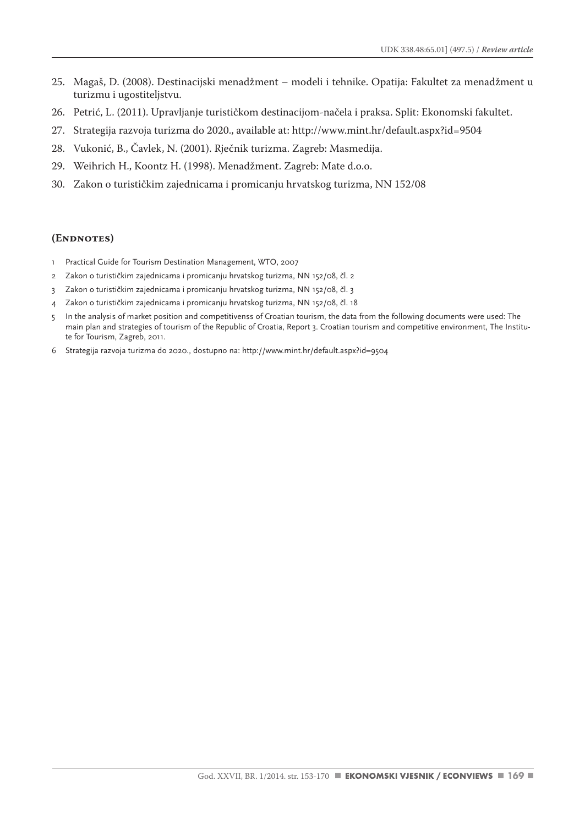- 25. Magaš, D. (2008). Destinacijski menadžment modeli i tehnike. Opatija: Fakultet za menadžment u turizmu i ugostiteljstvu.
- 26. Petrić, L. (2011). Upravljanje turističkom destinacijom-načela i praksa. Split: Ekonomski fakultet.
- 27. Strategija razvoja turizma do 2020., available at: http://www.mint.hr/default.aspx?id=9504
- 28. Vukonić, B., Čavlek, N. (2001). Rječnik turizma. Zagreb: Masmedija.
- 29. Weihrich H., Koontz H. (1998). Menadžment. Zagreb: Mate d.o.o.
- 30. Zakon o turističkim zajednicama i promicanju hrvatskog turizma, NN 152/08

#### **(Endnotes)**

- 1 Practical Guide for Tourism Destination Management, WTO, 2007
- 2 Zakon o turističkim zajednicama i promicanju hrvatskog turizma, NN 152/08, čl. 2
- 3 Zakon o turističkim zajednicama i promicanju hrvatskog turizma, NN 152/08, čl. 3
- 4 Zakon o turističkim zajednicama i promicanju hrvatskog turizma, NN 152/08, čl. 18
- 5 In the analysis of market position and competitivenss of Croatian tourism, the data from the following documents were used: The main plan and strategies of tourism of the Republic of Croatia, Report 3. Croatian tourism and competitive environment, The Institute for Tourism, Zagreb, 2011.
- 6 Strategija razvoja turizma do 2020., dostupno na: http://www.mint.hr/default.aspx?id=9504